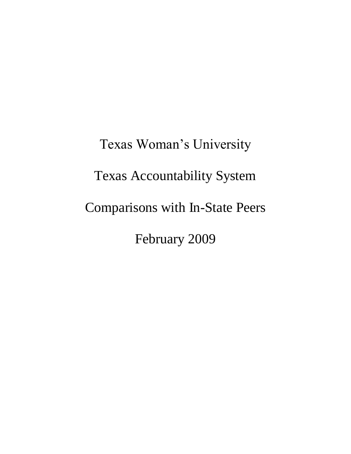Texas Woman's University Texas Accountability System Comparisons with In-State Peers February 2009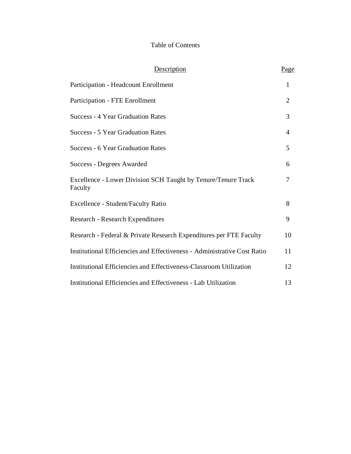#### Table of Contents

| Description                                                              | Page           |
|--------------------------------------------------------------------------|----------------|
| Participation - Headcount Enrollment                                     | 1              |
| Participation - FTE Enrollment                                           | $\overline{2}$ |
| <b>Success - 4 Year Graduation Rates</b>                                 | 3              |
| <b>Success - 5 Year Graduation Rates</b>                                 | $\overline{4}$ |
| <b>Success - 6 Year Graduation Rates</b>                                 | 5              |
| <b>Success - Degrees Awarded</b>                                         | 6              |
| Excellence - Lower Division SCH Taught by Tenure/Tenure Track<br>Faculty | 7              |
| Excellence - Student/Faculty Ratio                                       | 8              |
| Research - Research Expenditures                                         | 9              |
| Research - Federal & Private Research Expenditures per FTE Faculty       | 10             |
| Institutional Efficiencies and Effectiveness - Administrative Cost Ratio | 11             |
| Institutional Efficiencies and Effectiveness-Classroom Utilization       | 12             |
| Institutional Efficiencies and Effectiveness - Lab Utilization           | 13             |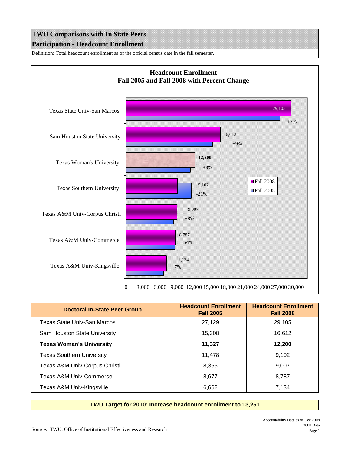### **TWU Comparisons with In State Peers Participation - Headcount Enrollment**

Definition: Total headcount enrollment as of the official census date in the fall semester.



| <b>Doctoral In-State Peer Group</b> | <b>Headcount Enrollment</b><br><b>Fall 2005</b> | <b>Headcount Enrollment</b><br><b>Fall 2008</b> |
|-------------------------------------|-------------------------------------------------|-------------------------------------------------|
| Texas State Univ-San Marcos         | 27,129                                          | 29,105                                          |
| Sam Houston State University        | 15,308                                          | 16,612                                          |
| <b>Texas Woman's University</b>     | 11,327                                          | 12,200                                          |
| <b>Texas Southern University</b>    | 11,478                                          | 9.102                                           |
| Texas A&M Univ-Corpus Christi       | 8,355                                           | 9.007                                           |
| Texas A&M Univ-Commerce             | 8,677                                           | 8,787                                           |
| Texas A&M Univ-Kingsville           | 6,662                                           | 7.134                                           |

**TWU Target for 2010: Increase headcount enrollment to 13,251**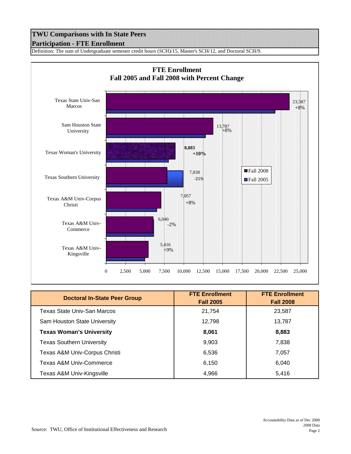#### **TWU Comparisons with In State Peers Participation - FTE Enrollment**

Definition: The sum of Undergraduate semester credit hours (SCH)/15, Master's SCH/12, and Doctoral SCH/9.



| <b>Doctoral In-State Peer Group</b> | <b>FTE Enrollment</b><br><b>Fall 2005</b> | <b>FTE Enrollment</b><br><b>Fall 2008</b> |
|-------------------------------------|-------------------------------------------|-------------------------------------------|
| <b>Texas State Univ-San Marcos</b>  | 21,754                                    | 23,587                                    |
| Sam Houston State University        | 12,798                                    | 13,787                                    |
| <b>Texas Woman's University</b>     | 8,061                                     | 8,883                                     |
| <b>Texas Southern University</b>    | 9,903                                     | 7,838                                     |
| Texas A&M Univ-Corpus Christi       | 6,536                                     | 7,057                                     |
| <b>Texas A&amp;M Univ-Commerce</b>  | 6,150                                     | 6,040                                     |
| Texas A&M Univ-Kingsville           | 4,966                                     | 5,416                                     |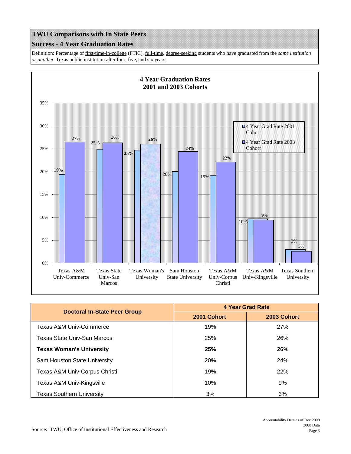#### **Success - 4 Year Graduation Rates**

Definition: Percentage of first-time-in-college (FTIC), full-time, degree-seeking students who have graduated from the *same institution or another* Texas public institution after four, five, and six years.



| <b>Doctoral In-State Peer Group</b> | <b>4 Year Grad Rate</b> |             |
|-------------------------------------|-------------------------|-------------|
|                                     | 2001 Cohort             | 2003 Cohort |
| Texas A&M Univ-Commerce             | 19%                     | <b>27%</b>  |
| Texas State Univ-San Marcos         | 25%                     | <b>26%</b>  |
| <b>Texas Woman's University</b>     | 25%                     | <b>26%</b>  |
| Sam Houston State University        | 20%                     | 24%         |
| Texas A&M Univ-Corpus Christi       | 19%                     | <b>22%</b>  |
| Texas A&M Univ-Kingsville           | 10%                     | 9%          |
| <b>Texas Southern University</b>    | 3%                      | 3%          |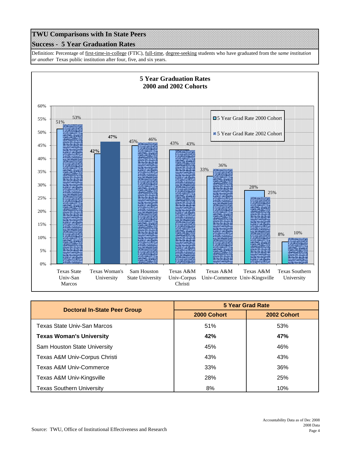#### **Success - 5 Year Graduation Rates**

Definition: Percentage of first-time-in-college (FTIC), full-time, degree-seeking students who have graduated from the *same institution or another* Texas public institution after four, five, and six years.



| <b>Doctoral In-State Peer Group</b> | 5 Year Grad Rate |             |
|-------------------------------------|------------------|-------------|
|                                     | 2000 Cohort      | 2002 Cohort |
| Texas State Univ-San Marcos         | 51%              | 53%         |
| <b>Texas Woman's University</b>     | 42%              | 47%         |
| Sam Houston State University        | 45%              | 46%         |
| Texas A&M Univ-Corpus Christi       | 43%              | 43%         |
| <b>Texas A&amp;M Univ-Commerce</b>  | 33%              | 36%         |
| Texas A&M Univ-Kingsville           | 28%              | 25%         |
| <b>Texas Southern University</b>    | 8%               | 10%         |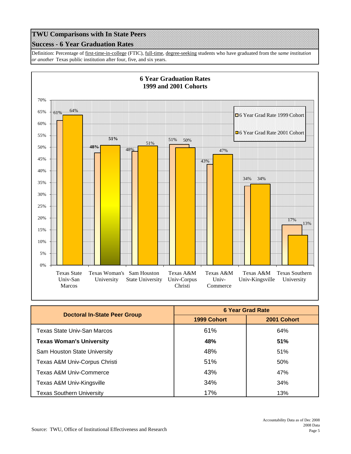# **Success - 6 Year Graduation Rates**

Definition: Percentage of first-time-in-college (FTIC), full-time, degree-seeking students who have graduated from the *same institution or another* Texas public institution after four, five, and six years.



| <b>Doctoral In-State Peer Group</b> | <b>6 Year Grad Rate</b> |             |
|-------------------------------------|-------------------------|-------------|
|                                     | 1999 Cohort             | 2001 Cohort |
| Texas State Univ-San Marcos         | 61%                     | 64%         |
| <b>Texas Woman's University</b>     | 48%                     | 51%         |
| Sam Houston State University        | 48%                     | 51%         |
| Texas A&M Univ-Corpus Christi       | 51%                     | 50%         |
| <b>Texas A&amp;M Univ-Commerce</b>  | 43%                     | 47%         |
| Texas A&M Univ-Kingsville           | 34%                     | 34%         |
| Texas Southern University           | 17%                     | 13%         |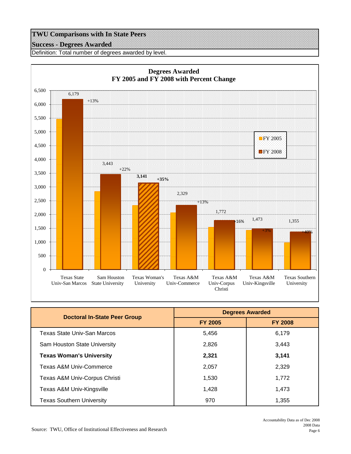#### **Success - Degrees Awarded**

Definition: Total number of degrees awarded by level.



| <b>Doctoral In-State Peer Group</b> | <b>Degrees Awarded</b> |                |
|-------------------------------------|------------------------|----------------|
|                                     | <b>FY 2005</b>         | <b>FY 2008</b> |
| Texas State Univ-San Marcos         | 5,456                  | 6,179          |
| Sam Houston State University        | 2,826                  | 3,443          |
| <b>Texas Woman's University</b>     | 2,321                  | 3,141          |
| Texas A&M Univ-Commerce             | 2,057                  | 2.329          |
| Texas A&M Univ-Corpus Christi       | 1,530                  | 1,772          |
| Texas A&M Univ-Kingsville           | 1,428                  | 1.473          |
| <b>Texas Southern University</b>    | 970                    | 1,355          |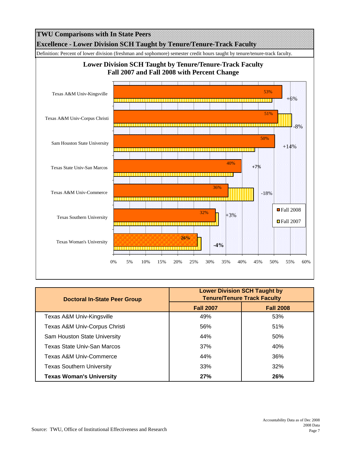

| Doctoral In-State Peer Group       | <b>Lower Division SCH Taught by</b><br><b>Tenure/Tenure Track Faculty</b> |                  |
|------------------------------------|---------------------------------------------------------------------------|------------------|
|                                    | <b>Fall 2007</b>                                                          | <b>Fall 2008</b> |
| Texas A&M Univ-Kingsville          | 49%                                                                       | 53%              |
| Texas A&M Univ-Corpus Christi      | 56%                                                                       | 51%              |
| Sam Houston State University       | 44%                                                                       | 50%              |
| Texas State Univ-San Marcos        | 37%                                                                       | 40%              |
| <b>Texas A&amp;M Univ-Commerce</b> | 44%                                                                       | 36%              |
| <b>Texas Southern University</b>   | 33%                                                                       | 32%              |
| <b>Texas Woman's University</b>    | 27%                                                                       | 26%              |

0% 5% 10% 15% 20% 25% 30% 35% 40% 45% 50% 55% 60%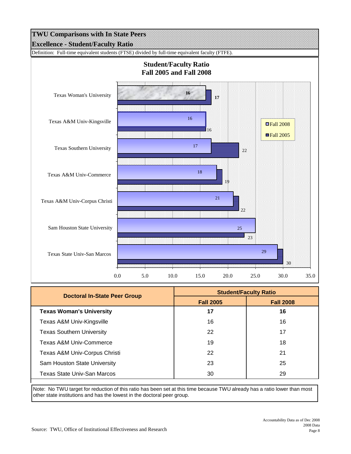

| Doctoral In-State Peer Group     | <b>Student/Faculty Ratio</b> |                  |
|----------------------------------|------------------------------|------------------|
|                                  | <b>Fall 2005</b>             | <b>Fall 2008</b> |
| <b>Texas Woman's University</b>  | 17                           | 16               |
| Texas A&M Univ-Kingsville        | 16                           | 16               |
| <b>Texas Southern University</b> | 22                           | 17               |
| Texas A&M Univ-Commerce          | 19                           | 18               |
| Texas A&M Univ-Corpus Christi    | 22                           | 21               |
| Sam Houston State University     | 23                           | 25               |
| Texas State Univ-San Marcos      | 30                           | 29               |

Note: No TWU target for reduction of this ratio has been set at this time because TWU already has a ratio lower than most other state institutions and has the lowest in the doctoral peer group.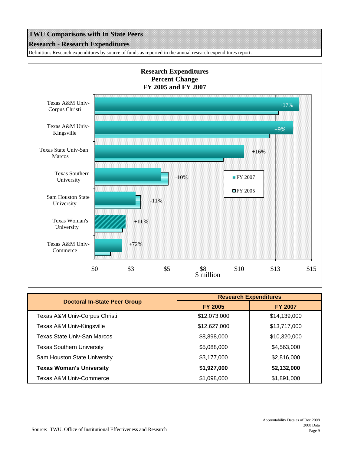# **TWU Comparisons with In State Peers Research - Research Expenditures**

Definition: Research expenditures by source of funds as reported in the annual research expenditures report.



|                                     | <b>Research Expenditures</b> |                |
|-------------------------------------|------------------------------|----------------|
| <b>Doctoral In-State Peer Group</b> | <b>FY 2005</b>               | <b>FY 2007</b> |
| Texas A&M Univ-Corpus Christi       | \$12,073,000                 | \$14,139,000   |
| Texas A&M Univ-Kingsville           | \$12,627,000                 | \$13,717,000   |
| Texas State Univ-San Marcos         | \$8,898,000                  | \$10,320,000   |
| <b>Texas Southern University</b>    | \$5,088,000                  | \$4,563,000    |
| Sam Houston State University        | \$3,177,000                  | \$2,816,000    |
| <b>Texas Woman's University</b>     | \$1,927,000                  | \$2,132,000    |
| <b>Texas A&amp;M Univ-Commerce</b>  | \$1,098,000                  | \$1,891,000    |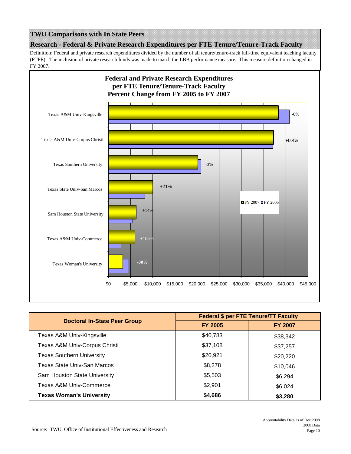### **Research - Federal & Private Research Expenditures per FTE Tenure/Tenure-Track Faculty TWU Comparisons with In State Peers**

Definition: Federal and private research expenditures divided by the number of all tenure/tenure-track full-time equivalent teaching faculty (FTFE). The inclusion of private research funds was made to match the LBB performance measure. This measure definition changed in FY 2007.



|                                     | <b>Federal \$ per FTE Tenure/TT Faculty</b> |                |
|-------------------------------------|---------------------------------------------|----------------|
| <b>Doctoral In-State Peer Group</b> | <b>FY 2005</b>                              | <b>FY 2007</b> |
| Texas A&M Univ-Kingsville           | \$40,783                                    | \$38,342       |
| Texas A&M Univ-Corpus Christi       | \$37,108                                    | \$37,257       |
| <b>Texas Southern University</b>    | \$20,921                                    | \$20,220       |
| Texas State Univ-San Marcos         | \$8,278                                     | \$10,046       |
| Sam Houston State University        | \$5,503                                     | \$6,294        |
| Texas A&M Univ-Commerce             | \$2,901                                     | \$6,024        |
| <b>Texas Woman's University</b>     | \$4,686                                     | \$3,280        |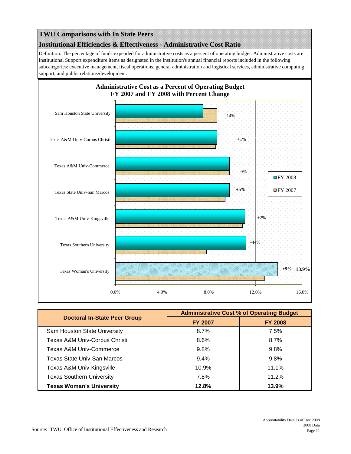# **Institutional Efficiencies & Effectiveness - Administrative Cost Ratio TWU Comparisons with In State Peers**

Definition: The percentage of funds expended for administrative costs as a percent of operating budget. Administrative costs are Institutional Support expenditure items as designated in the institution's annual financial reports included in the following subcategories: executive management, fiscal operations, general administration and logistical services, administrative computing support, and public relations/development.



|                                     | <b>Administrative Cost % of Operating Budget</b> |                |
|-------------------------------------|--------------------------------------------------|----------------|
| <b>Doctoral In-State Peer Group</b> | <b>FY 2007</b>                                   | <b>FY 2008</b> |
| Sam Houston State University        | 8.7%                                             | 7.5%           |
| Texas A&M Univ-Corpus Christi       | 8.6%                                             | $8.7\%$        |
| Texas A&M Univ-Commerce             | $9.8\%$                                          | $9.8\%$        |
| Texas State Univ-San Marcos         | $9.4\%$                                          | $9.8\%$        |
| Texas A&M Univ-Kingsville           | 10.9%                                            | 11.1%          |
| <b>Texas Southern University</b>    | 7.8%                                             | 11.2%          |
| <b>Texas Woman's University</b>     | 12.8%                                            | 13.9%          |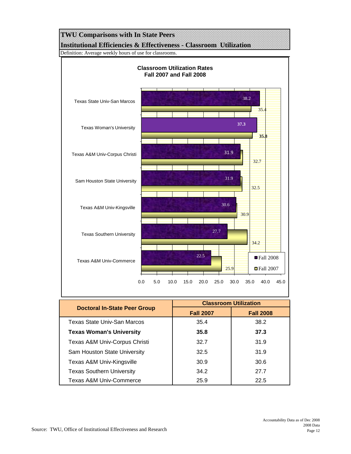## **TWU Comparisons with In State Peers Institutional Efficiencies & Effectiveness - Classroom Utilization**

Definition: Average weekly hours of use for classrooms.